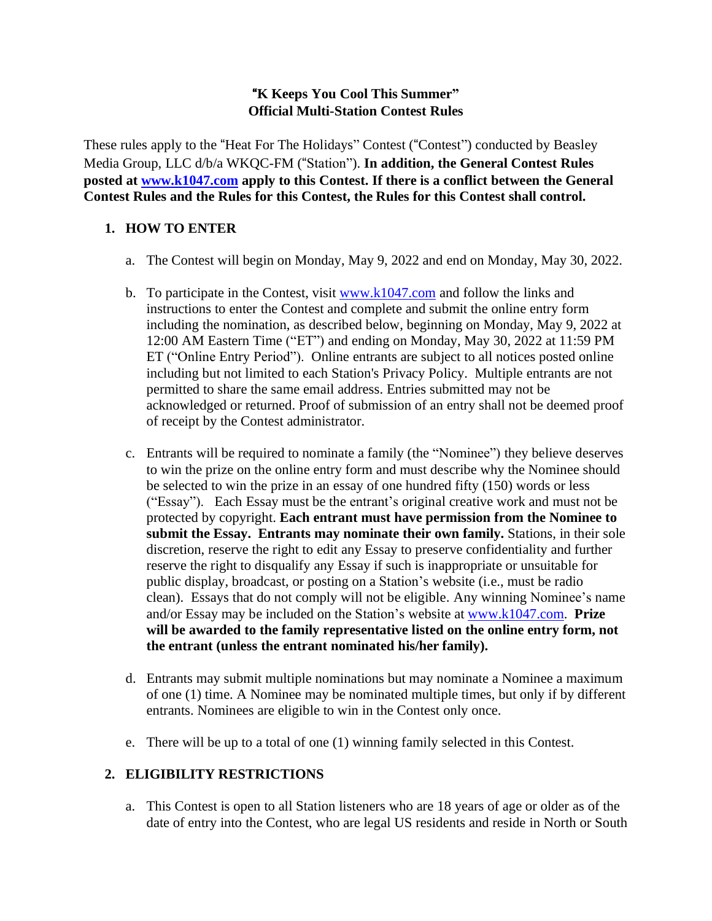### "**K Keeps You Cool This Summer" Official Multi-Station Contest Rules**

These rules apply to the "Heat For The Holidays" Contest ("Contest") conducted by Beasley Media Group, LLC d/b/a WKQC-FM ("Station"). **In addition, the General Contest Rules posted at [www.k1047.com](http://www.k1047.com/) apply to this Contest. If there is a conflict between the General Contest Rules and the Rules for this Contest, the Rules for this Contest shall control.**

## **1. HOW TO ENTER**

- a. The Contest will begin on Monday, May 9, 2022 and end on Monday, May 30, 2022.
- b. To participate in the Contest, visit  $www.k1047.com$  and follow the links and instructions to enter the Contest and complete and submit the online entry form including the nomination, as described below, beginning on Monday, May 9, 2022 at 12:00 AM Eastern Time ("ET") and ending on Monday, May 30, 2022 at 11:59 PM ET ("Online Entry Period"). Online entrants are subject to all notices posted online including but not limited to each Station's Privacy Policy. Multiple entrants are not permitted to share the same email address. Entries submitted may not be acknowledged or returned. Proof of submission of an entry shall not be deemed proof of receipt by the Contest administrator.
- c. Entrants will be required to nominate a family (the "Nominee") they believe deserves to win the prize on the online entry form and must describe why the Nominee should be selected to win the prize in an essay of one hundred fifty (150) words or less ("Essay"). Each Essay must be the entrant's original creative work and must not be protected by copyright. **Each entrant must have permission from the Nominee to submit the Essay. Entrants may nominate their own family.** Stations, in their sole discretion, reserve the right to edit any Essay to preserve confidentiality and further reserve the right to disqualify any Essay if such is inappropriate or unsuitable for public display, broadcast, or posting on a Station's website (i.e., must be radio clean). Essays that do not comply will not be eligible. Any winning Nominee's name and/or Essay may be included on the Station's website at [www.k1047.com.](http://www.k1047.com/) **Prize will be awarded to the family representative listed on the online entry form, not the entrant (unless the entrant nominated his/her family).**
- d. Entrants may submit multiple nominations but may nominate a Nominee a maximum of one (1) time. A Nominee may be nominated multiple times, but only if by different entrants. Nominees are eligible to win in the Contest only once.
- e. There will be up to a total of one (1) winning family selected in this Contest.

#### **2. ELIGIBILITY RESTRICTIONS**

a. This Contest is open to all Station listeners who are 18 years of age or older as of the date of entry into the Contest, who are legal US residents and reside in North or South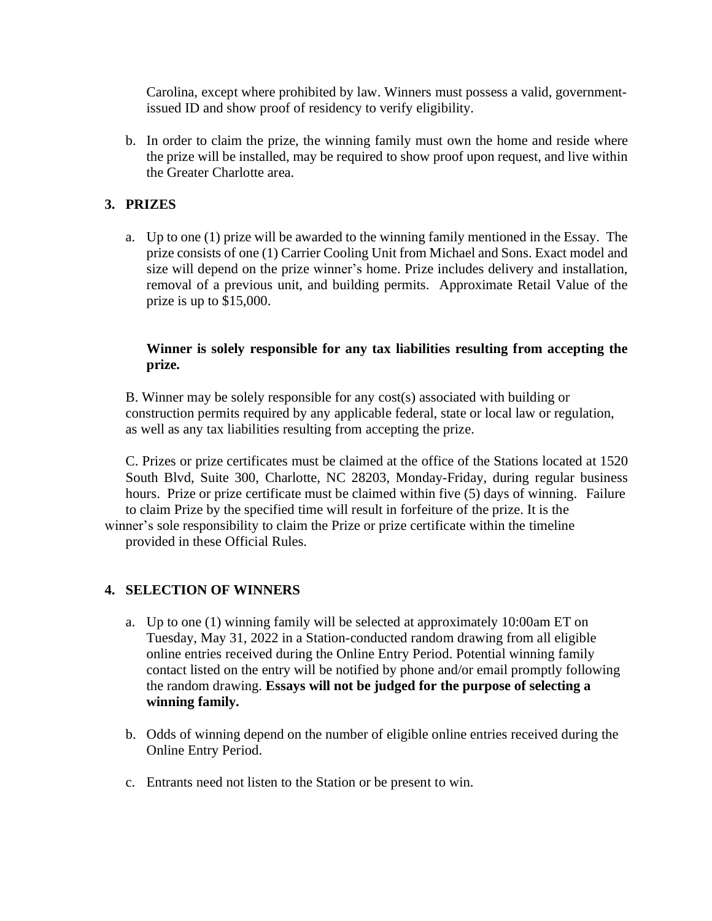Carolina, except where prohibited by law. Winners must possess a valid, governmentissued ID and show proof of residency to verify eligibility.

b. In order to claim the prize, the winning family must own the home and reside where the prize will be installed, may be required to show proof upon request, and live within the Greater Charlotte area.

## **3. PRIZES**

a. Up to one (1) prize will be awarded to the winning family mentioned in the Essay. The prize consists of one (1) Carrier Cooling Unit from Michael and Sons. Exact model and size will depend on the prize winner's home. Prize includes delivery and installation, removal of a previous unit, and building permits. Approximate Retail Value of the prize is up to \$15,000.

#### **Winner is solely responsible for any tax liabilities resulting from accepting the prize.**

B. Winner may be solely responsible for any cost(s) associated with building or construction permits required by any applicable federal, state or local law or regulation, as well as any tax liabilities resulting from accepting the prize.

C. Prizes or prize certificates must be claimed at the office of the Stations located at 1520 South Blvd, Suite 300, Charlotte, NC 28203, Monday-Friday, during regular business hours. Prize or prize certificate must be claimed within five (5) days of winning. Failure to claim Prize by the specified time will result in forfeiture of the prize. It is the winner's sole responsibility to claim the Prize or prize certificate within the timeline provided in these Official Rules.

#### **4. SELECTION OF WINNERS**

- a. Up to one (1) winning family will be selected at approximately 10:00am ET on Tuesday, May 31, 2022 in a Station-conducted random drawing from all eligible online entries received during the Online Entry Period. Potential winning family contact listed on the entry will be notified by phone and/or email promptly following the random drawing. **Essays will not be judged for the purpose of selecting a winning family.**
- b. Odds of winning depend on the number of eligible online entries received during the Online Entry Period.
- c. Entrants need not listen to the Station or be present to win.